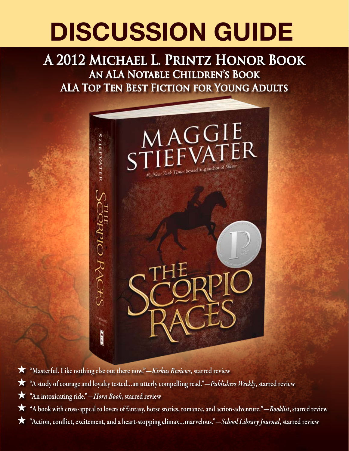# **Discussion Guide**

### **A 2012 Michael L. Printz Honor Book An ALA Notable Children's Book ALA Top Ten Best Fiction for Young Adults**



- H "Masterful. Like nothing else out there now."—*Kirkus Reviews*, starred review
- H "A study of courage and loyalty tested…an utterly compelling read."—*Publishers Weekly*, starred review
- H "An intoxicating ride."—*Horn Book*, starred review
- H "A book with cross-appeal to lovers of fantasy, horse stories, romance, and action-adventure."—*Booklist*, starred review
- "Action, conflict, excitement, and a heart-stopping climax...marvelous."-School Library Journal, starred review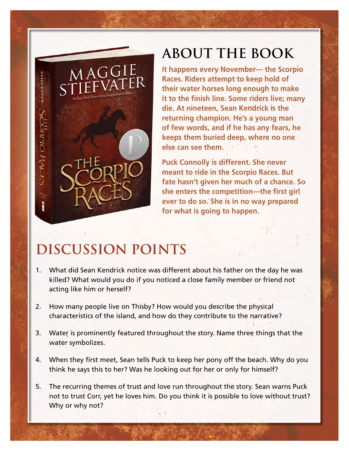# **About the Book**

**It happens every November— the Scorpio Races. Riders attempt to keep hold of their water horses long enough to make it to the finish line. Some riders live; many die. At nineteen, Sean Kendrick is the returning champion. He's a young man of few words, and if he has any fears, he keeps them buried deep, where no one else can see them.** 

**Puck Connolly is different. She never meant to ride in the Scorpio Races. But fate hasn't given her much of a chance. So she enters the competition—the first girl ever to do so. She is in no way prepared for what is going to happen.**

# **Discussion Points**

PRIP RACES

- 1. What did Sean Kendrick notice was different about his father on the day he was killed? What would you do if you noticed a close family member or friend not acting like him or herself?
- 2. How many people live on Thisby? How would you describe the physical characteristics of the island, and how do they contribute to the narrative?
- 3. Water is prominently featured throughout the story. Name three things that the water symbolizes.
- 4. When they first meet, Sean tells Puck to keep her pony off the beach. Why do you think he says this to her? Was he looking out for her or only for himself?
- 5. The recurring themes of trust and love run throughout the story. Sean warns Puck not to trust Corr, yet he loves him. Do you think it is possible to love without trust? Why or why not?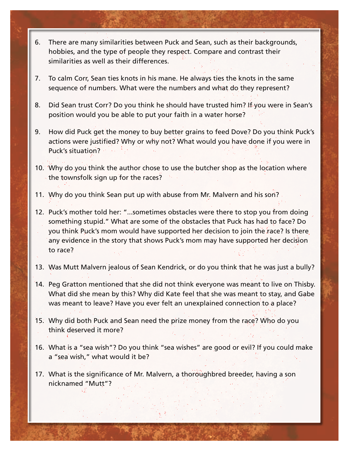- 6. There are many similarities between Puck and Sean, such as their backgrounds, hobbies, and the type of people they respect. Compare and contrast their similarities as well as their differences.
- 7. To calm Corr, Sean ties knots in his mane. He always ties the knots in the same sequence of numbers. What were the numbers and what do they represent?
- 8. Did Sean trust Corr? Do you think he should have trusted him? If you were in Sean's position would you be able to put your faith in a water horse?
- 9. How did Puck get the money to buy better grains to feed Dove? Do you think Puck's actions were justified? Why or why not? What would you have done if you were in Puck's situation?
- 10. Why do you think the author chose to use the butcher shop as the location where the townsfolk sign up for the races?
- 11. Why do you think Sean put up with abuse from Mr. Malvern and his son?
- 12. Puck's mother told her: "...sometimes obstacles were there to stop you from doing something stupid." What are some of the obstacles that Puck has had to face? Do you think Puck's mom would have supported her decision to join the race? Is there any evidence in the story that shows Puck's mom may have supported her decision to race?
- 13. Was Mutt Malvern jealous of Sean Kendrick, or do you think that he was just a bully?
- 14. Peg Gratton mentioned that she did not think everyone was meant to live on Thisby. What did she mean by this? Why did Kate feel that she was meant to stay, and Gabe was meant to leave? Have you ever felt an unexplained connection to a place?
- 15. Why did both Puck and Sean need the prize money from the race? Who do you think deserved it more?
- 16. What is a "sea wish"? Do you think "sea wishes" are good or evil? If you could make a "sea wish," what would it be?
- 17. What is the significance of Mr. Malvern, a thoroughbred breeder, having a son nicknamed "Mutt"?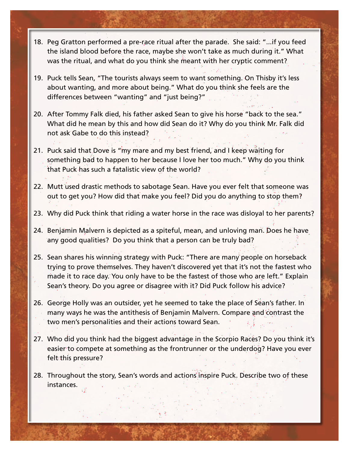- 18. Peg Gratton performed a pre-race ritual after the parade. She said: "...if you feed the island blood before the race, maybe she won't take as much during it." What was the ritual, and what do you think she meant with her cryptic comment?
- 19. Puck tells Sean, "The tourists always seem to want something. On Thisby it's less about wanting, and more about being." What do you think she feels are the differences between "wanting" and "just being?"
- 20. After Tommy Falk died, his father asked Sean to give his horse "back to the sea." What did he mean by this and how did Sean do it? Why do you think Mr. Falk did not ask Gabe to do this instead?
- 21. Puck said that Dove is "my mare and my best friend, and I keep waiting for something bad to happen to her because I love her too much." Why do you think that Puck has such a fatalistic view of the world?
- 22. Mutt used drastic methods to sabotage Sean. Have you ever felt that someone was out to get you? How did that make you feel? Did you do anything to stop them?
- 23. Why did Puck think that riding a water horse in the race was disloyal to her parents?
- 24. Benjamin Malvern is depicted as a spiteful, mean, and unloving man. Does he have any good qualities? Do you think that a person can be truly bad?
- 25. Sean shares his winning strategy with Puck: "There are many people on horseback trying to prove themselves. They haven't discovered yet that it's not the fastest who made it to race day. You only have to be the fastest of those who are left." Explain Sean's theory. Do you agree or disagree with it? Did Puck follow his advice?
- 26. George Holly was an outsider, yet he seemed to take the place of Sean's father. In many ways he was the antithesis of Benjamin Malvern. Compare and contrast the two men's personalities and their actions toward Sean.
- 27. Who did you think had the biggest advantage in the Scorpio Races? Do you think it's easier to compete at something as the frontrunner or the underdog? Have you ever felt this pressure?
- 28. Throughout the story, Sean's words and actions inspire Puck. Describe two of these instances.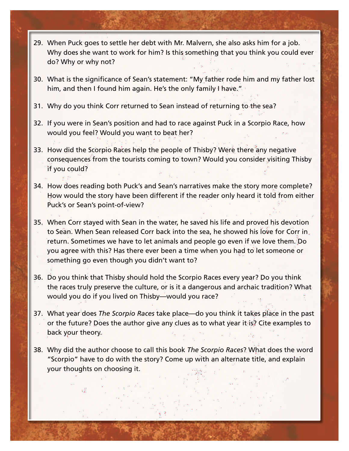- 29. When Puck goes to settle her debt with Mr. Malvern, she also asks him for a job. Why does she want to work for him? Is this something that you think you could ever do? Why or why not?
- 30. What is the significance of Sean's statement: "My father rode him and my father lost him, and then I found him again. He's the only family I have."
- 31. Why do you think Corr returned to Sean instead of returning to the sea?
- 32. If you were in Sean's position and had to race against Puck in a Scorpio Race, how would you feel? Would you want to beat her?
- 33. How did the Scorpio Races help the people of Thisby? Were there any negative consequences from the tourists coming to town? Would you consider visiting Thisby if you could?
- 34. How does reading both Puck's and Sean's narratives make the story more complete? How would the story have been different if the reader only heard it told from either Puck's or Sean's point-of-view?
- 35. When Corr stayed with Sean in the water, he saved his life and proved his devotion to Sean. When Sean released Corr back into the sea, he showed his love for Corr in return. Sometimes we have to let animals and people go even if we love them. Do you agree with this? Has there ever been a time when you had to let someone or something go even though you didn't want to?
- 36. Do you think that Thisby should hold the Scorpio Races every year? Do you think the races truly preserve the culture, or is it a dangerous and archaic tradition? What would you do if you lived on Thisby—would you race?
- 37. What year does *The Scorpio Races* take place—do you think it takes place in the past or the future? Does the author give any clues as to what year it is? Cite examples to back your theory.
- 38. Why did the author choose to call this book *The Scorpio Races*? What does the word "Scorpio" have to do with the story? Come up with an alternate title, and explain your thoughts on choosing it.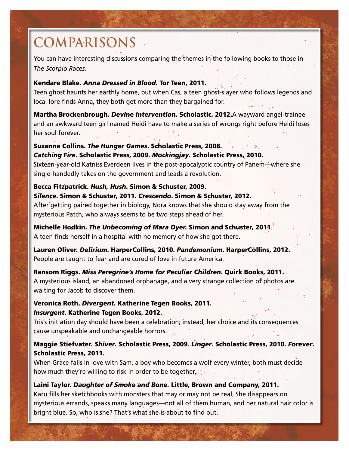## **comparisons**

You can have interesting discussions comparing the themes in the following books to those in *The Scorpio Races.*

#### Kendare Blake. *Anna Dressed in Blood.* Tor Teen, 2011.

Teen ghost haunts her earthly home, but when Cas, a teen ghost-slayer who follows legends and local lore finds Anna, they both get more than they bargained for.

Martha Brockenbrough. *Devine Interventio*n. Scholastic, 2012.A wayward angel-trainee and an awkward teen girl named Heidi have to make a series of wrongs right before Heidi loses her soul forever.

#### Suzanne Collins. *The Hunger Games*. Scholastic Press, 2008.

*Catching Fire*. Scholastic Press, 2009. *Mockingjay*. Scholastic Press, 2010. Sixteen-year-old Katniss Everdeen lives in the post-apocalyptic country of Panem—where she single-handedly takes on the government and leads a revolution.

#### Becca Fitzpatrick. *Hush, Hush*. Simon & Schuster, 2009.

#### *Silence*. Simon & Schuster, 2011. *Crescendo*. Simon & Schuster, 2012.

After getting paired together in biology, Nora knows that she should stay away from the mysterious Patch, who always seems to be two steps ahead of her.

#### Michelle Hodkin. *The Unbecoming of Mara Dyer.* Simon and Schuster, 2011.

A teen finds herself in a hospital with no memory of how she got there.

Lauren Oliver. *Delirium*. HarperCollins, 2010. *Pandemonium*. HarperCollins, 2012. People are taught to fear and are cured of love in future America.

Ransom Riggs. *Miss Peregrine's Home for Peculiar Children*. Quirk Books, 2011. A mysterious island, an abandoned orphanage, and a very strange collection of photos are waiting for Jacob to discover them.

#### Veronica Roth. *Divergent*. Katherine Tegen Books, 2011. *Insurgent*. Katherine Tegen Books, 2012.

Tris's initiation day should have been a celebration; instead, her choice and its consequences cause unspeakable and unchangeable horrors.

#### Maggie Stiefvater. *Shiver*. Scholastic Press, 2009. *Linger*. Scholastic Press, 2010. *Forever*. Scholastic Press, 2011.

When Grace falls in love with Sam, a boy who becomes a wolf every winter, both must decide how much they're willing to risk in order to be together.

#### Laini Taylor. *Daughter of Smoke and Bone.* Little, Brown and Company, 2011.

Karu fills her sketchbooks with monsters that may or may not be real. She disappears on mysterious errands, speaks many languages—not all of them human, and her natural hair color is bright blue. So, who is she? That's what she is about to find out.